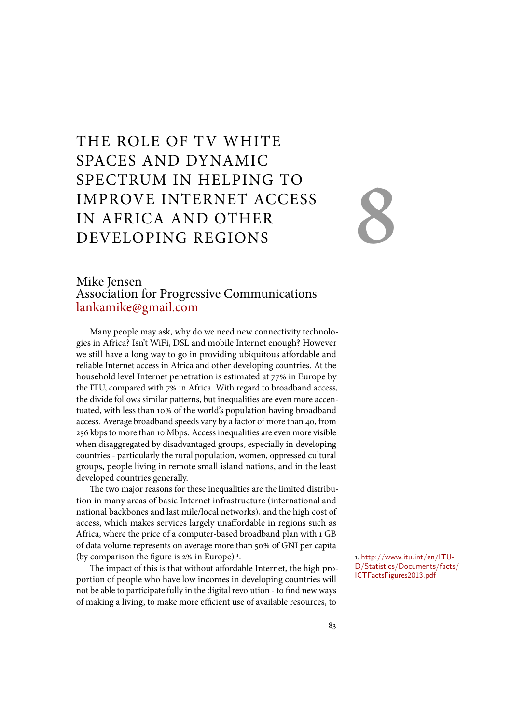# THE ROLE OF TV WHITE SPACES AND DYNAMIC SPECTRUM IN HELPING TO IMPROVE INTERNET ACCESS IN AFRICA AND OTHER DEVELOPING REGIONS

# 8

### Mike Jensen Association for Progressive Communications lankamike@gmail.com

Many people may ask, why do we need new connectivity technologies in Africa? Isn't WiFi, DSL and mobile Internet enough? However we still have a long way to go in providing ubiquitous affordable and reliable Internet access in Africa and other developing countries. At the household level Internet penetration is estimated at 77% in Europe by the ITU, compared with 7% in Africa. With regard to broadband access, the divide follows similar patterns, but inequalities are even more accentuated, with less than 10% of the world's population having broadband access. Average broadband speeds vary by a factor of more than 40, from 256 kbps to more than 10 Mbps. Access inequalities are even more visible when disaggregated by disadvantaged groups, especially in developing countries - particularly the rural population, women, oppressed cultural groups, people living in remote small island nations, and in the least developed countries generally.

The two major reasons for these inequalities are the limited distribution in many areas of basic Internet infrastructure (international and national backbones and last mile/local networks), and the high cost of access, which makes services largely unaffordable in regions such as Africa, where the price of a computer-based broadband plan with 1 GB of data volume represents on average more than 50% of GNI per capita (by comparison the figure is 2% in Europe) <sup>1</sup>.  $1. \text{http://www.itu.int/en/ITU-Jau/2015-015}$ 

The impact of this is that without affordable Internet, the high proportion of people who have low incomes in developing countries will not be able to participate fully in the digital revolution - to find new ways of making a living, to make more efficient use of available resources, to

D/Statistics/Documents/facts/ ICTFactsFigures2013.pdf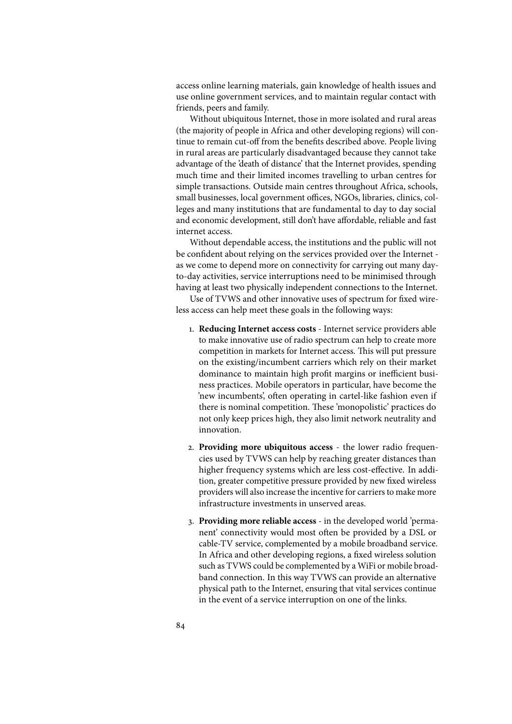access online learning materials, gain knowledge of health issues and use online government services, and to maintain regular contact with friends, peers and family.

Without ubiquitous Internet, those in more isolated and rural areas (the majority of people in Africa and other developing regions) will continue to remain cut-off from the benefits described above. People living in rural areas are particularly disadvantaged because they cannot take advantage of the 'death of distance' that the Internet provides, spending much time and their limited incomes travelling to urban centres for simple transactions. Outside main centres throughout Africa, schools, small businesses, local government offices, NGOs, libraries, clinics, colleges and many institutions that are fundamental to day to day social and economic development, still don't have affordable, reliable and fast internet access.

Without dependable access, the institutions and the public will not be confident about relying on the services provided over the Internet as we come to depend more on connectivity for carrying out many dayto-day activities, service interruptions need to be minimised through having at least two physically independent connections to the Internet.

Use of TVWS and other innovative uses of spectrum for fixed wireless access can help meet these goals in the following ways:

- 1. **Reducing Internet access costs** Internet service providers able to make innovative use of radio spectrum can help to create more competition in markets for Internet access. This will put pressure on the existing/incumbent carriers which rely on their market dominance to maintain high profit margins or inefficient business practices. Mobile operators in particular, have become the 'new incumbents', often operating in cartel-like fashion even if there is nominal competition. These 'monopolistic' practices do not only keep prices high, they also limit network neutrality and innovation.
- 2. **Providing more ubiquitous access** the lower radio frequencies used by TVWS can help by reaching greater distances than higher frequency systems which are less cost-effective. In addition, greater competitive pressure provided by new fixed wireless providers will also increase the incentive for carriers to make more infrastructure investments in unserved areas.
- 3. **Providing more reliable access** in the developed world 'permanent' connectivity would most often be provided by a DSL or cable-TV service, complemented by a mobile broadband service. In Africa and other developing regions, a fixed wireless solution such as TVWS could be complemented by a WiFi or mobile broadband connection. In this way TVWS can provide an alternative physical path to the Internet, ensuring that vital services continue in the event of a service interruption on one of the links.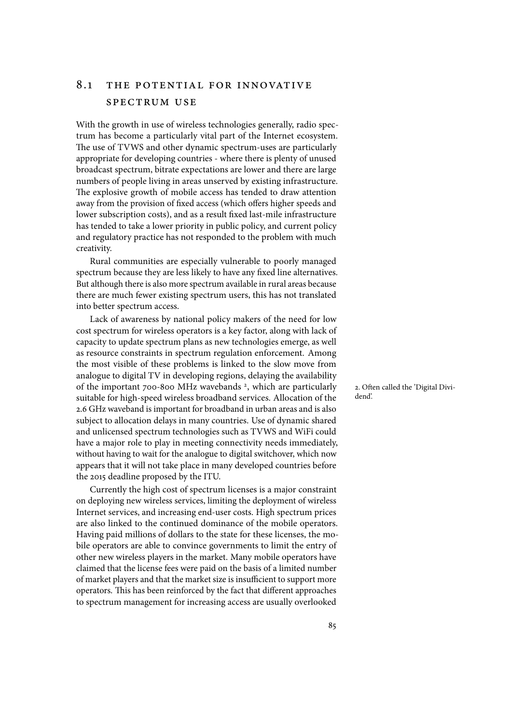### 8.1 THE POTENTIAL FOR INNOVATIVE spectrum use

With the growth in use of wireless technologies generally, radio spectrum has become a particularly vital part of the Internet ecosystem. The use of TVWS and other dynamic spectrum-uses are particularly appropriate for developing countries - where there is plenty of unused broadcast spectrum, bitrate expectations are lower and there are large numbers of people living in areas unserved by existing infrastructure. The explosive growth of mobile access has tended to draw attention away from the provision of fixed access (which offers higher speeds and lower subscription costs), and as a result fixed last-mile infrastructure has tended to take a lower priority in public policy, and current policy and regulatory practice has not responded to the problem with much creativity.

Rural communities are especially vulnerable to poorly managed spectrum because they are less likely to have any fixed line alternatives. But although there is also more spectrum available in rural areas because there are much fewer existing spectrum users, this has not translated into better spectrum access.

Lack of awareness by national policy makers of the need for low cost spectrum for wireless operators is a key factor, along with lack of capacity to update spectrum plans as new technologies emerge, as well as resource constraints in spectrum regulation enforcement. Among the most visible of these problems is linked to the slow move from analogue to digital TV in developing regions, delaying the availability of the important 700-800 MHz wavebands<sup>2</sup>, which are particularly a. Often called the 'Digital Divisuitable for high-speed wireless broadband services. Allocation of the 2.6 GHz waveband is important for broadband in urban areas and is also subject to allocation delays in many countries. Use of dynamic shared and unlicensed spectrum technologies such as TVWS and WiFi could have a major role to play in meeting connectivity needs immediately, without having to wait for the analogue to digital switchover, which now appears that it will not take place in many developed countries before the 2015 deadline proposed by the ITU.

Currently the high cost of spectrum licenses is a major constraint on deploying new wireless services, limiting the deployment of wireless Internet services, and increasing end-user costs. High spectrum prices are also linked to the continued dominance of the mobile operators. Having paid millions of dollars to the state for these licenses, the mobile operators are able to convince governments to limit the entry of other new wireless players in the market. Many mobile operators have claimed that the license fees were paid on the basis of a limited number of market players and that the market size is insufficient to support more operators. This has been reinforced by the fact that different approaches to spectrum management for increasing access are usually overlooked

dend'.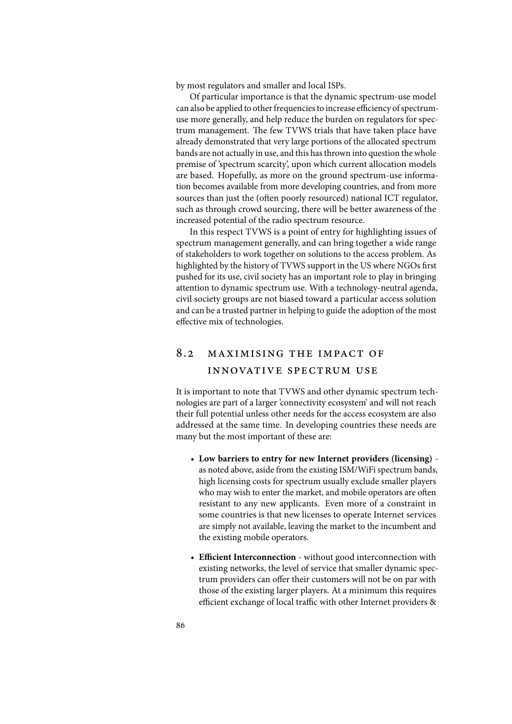by most regulators and smaller and local ISPs.

Of particular importance is that the dynamic spectrum-use model can also be applied to other frequencies to increase efficiency of spectrumuse more generally, and help reduce the burden on regulators for spectrum management. The few TVWS trials that have taken place have already demonstrated that very large portions of the allocated spectrum bands are not actually in use, and this has thrown into question the whole premise of 'spectrum scarcity', upon which current allocation models are based. Hopefully, as more on the ground spectrum-use information becomes available from more developing countries, and from more sources than just the (often poorly resourced) national ICT regulator, such as through crowd sourcing, there will be better awareness of the increased potential of the radio spectrum resource.

In this respect TVWS is a point of entry for highlighting issues of spectrum management generally, and can bring together a wide range of stakeholders to work together on solutions to the access problem. As highlighted by the history of TVWS support in the US where NGOs first pushed for its use, civil society has an important role to play in bringing attention to dynamic spectrum use. With a technology-neutral agenda, civil society groups are not biased toward a particular access solution and can be a trusted partner in helping to guide the adoption of the most effective mix of technologies.

## 8.2 maximising the impact of innovat ive spectrum use

It is important to note that TVWS and other dynamic spectrum technologies are part of a larger 'connectivity ecosystem' and will not reach their full potential unless other needs for the access ecosystem are also addressed at the same time. In developing countries these needs are many but the most important of these are:

- **Low barriers to entry for new Internet providers (licensing)** as noted above, aside from the existing ISM/WiFi spectrum bands, high licensing costs for spectrum usually exclude smaller players who may wish to enter the market, and mobile operators are often resistant to any new applicants. Even more of a constraint in some countries is that new licenses to operate Internet services are simply not available, leaving the market to the incumbent and the existing mobile operators.
- **Efficient Interconnection** without good interconnection with existing networks, the level of service that smaller dynamic spectrum providers can offer their customers will not be on par with those of the existing larger players. At a minimum this requires efficient exchange of local traffic with other Internet providers &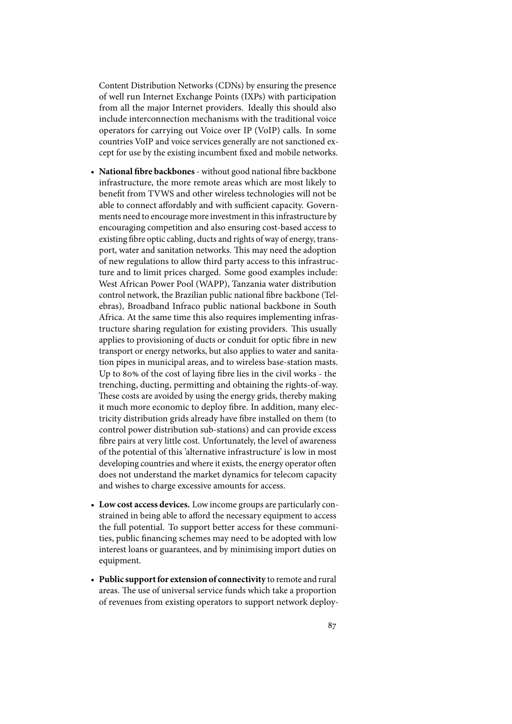Content Distribution Networks (CDNs) by ensuring the presence of well run Internet Exchange Points (IXPs) with participation from all the major Internet providers. Ideally this should also include interconnection mechanisms with the traditional voice operators for carrying out Voice over IP (VoIP) calls. In some countries VoIP and voice services generally are not sanctioned except for use by the existing incumbent fixed and mobile networks.

- National fibre backbones without good national fibre backbone infrastructure, the more remote areas which are most likely to benefit from TVWS and other wireless technologies will not be able to connect affordably and with sufficient capacity. Governments need to encourage more investment in this infrastructure by encouraging competition and also ensuring cost-based access to existing fibre optic cabling, ducts and rights of way of energy, transport, water and sanitation networks. This may need the adoption of new regulations to allow third party access to this infrastructure and to limit prices charged. Some good examples include: West African Power Pool (WAPP), Tanzania water distribution control network, the Brazilian public national fibre backbone (Telebras), Broadband Infraco public national backbone in South Africa. At the same time this also requires implementing infrastructure sharing regulation for existing providers. This usually applies to provisioning of ducts or conduit for optic fibre in new transport or energy networks, but also applies to water and sanitation pipes in municipal areas, and to wireless base-station masts. Up to 80% of the cost of laying fibre lies in the civil works - the trenching, ducting, permitting and obtaining the rights-of-way. These costs are avoided by using the energy grids, thereby making it much more economic to deploy fibre. In addition, many electricity distribution grids already have fibre installed on them (to control power distribution sub-stations) and can provide excess fibre pairs at very little cost. Unfortunately, the level of awareness of the potential of this 'alternative infrastructure' is low in most developing countries and where it exists, the energy operator often does not understand the market dynamics for telecom capacity and wishes to charge excessive amounts for access.
- **Low cost access devices.** Low income groups are particularly constrained in being able to afford the necessary equipment to access the full potential. To support better access for these communities, public financing schemes may need to be adopted with low interest loans or guarantees, and by minimising import duties on equipment.
- **Public support for extension of connectivity** to remote and rural areas. The use of universal service funds which take a proportion of revenues from existing operators to support network deploy-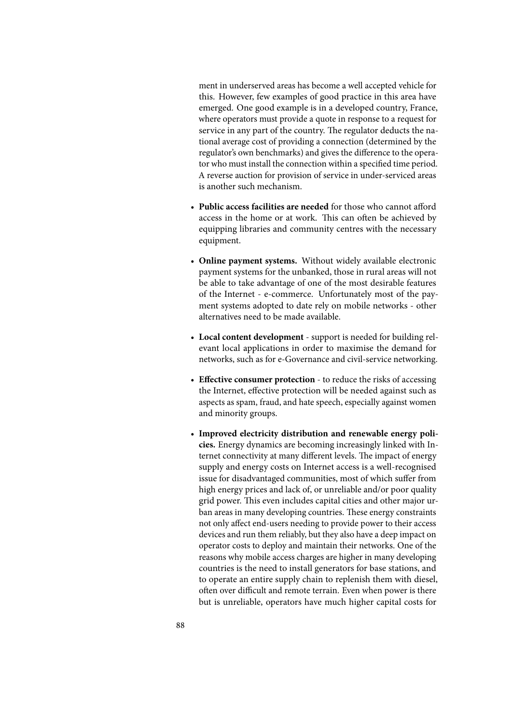ment in underserved areas has become a well accepted vehicle for this. However, few examples of good practice in this area have emerged. One good example is in a developed country, France, where operators must provide a quote in response to a request for service in any part of the country. The regulator deducts the national average cost of providing a connection (determined by the regulator's own benchmarks) and gives the difference to the operator who must install the connection within a specified time period. A reverse auction for provision of service in under-serviced areas is another such mechanism.

- **Public access facilities are needed** for those who cannot afford access in the home or at work. This can often be achieved by equipping libraries and community centres with the necessary equipment.
- **Online payment systems.** Without widely available electronic payment systems for the unbanked, those in rural areas will not be able to take advantage of one of the most desirable features of the Internet - e-commerce. Unfortunately most of the payment systems adopted to date rely on mobile networks - other alternatives need to be made available.
- **Local content development** support is needed for building relevant local applications in order to maximise the demand for networks, such as for e-Governance and civil-service networking.
- Effective consumer protection to reduce the risks of accessing the Internet, effective protection will be needed against such as aspects as spam, fraud, and hate speech, especially against women and minority groups.
- **Improved electricity distribution and renewable energy policies.** Energy dynamics are becoming increasingly linked with Internet connectivity at many different levels. The impact of energy supply and energy costs on Internet access is a well-recognised issue for disadvantaged communities, most of which suffer from high energy prices and lack of, or unreliable and/or poor quality grid power. This even includes capital cities and other major urban areas in many developing countries. These energy constraints not only affect end-users needing to provide power to their access devices and run them reliably, but they also have a deep impact on operator costs to deploy and maintain their networks. One of the reasons why mobile access charges are higher in many developing countries is the need to install generators for base stations, and to operate an entire supply chain to replenish them with diesel, often over difficult and remote terrain. Even when power is there but is unreliable, operators have much higher capital costs for